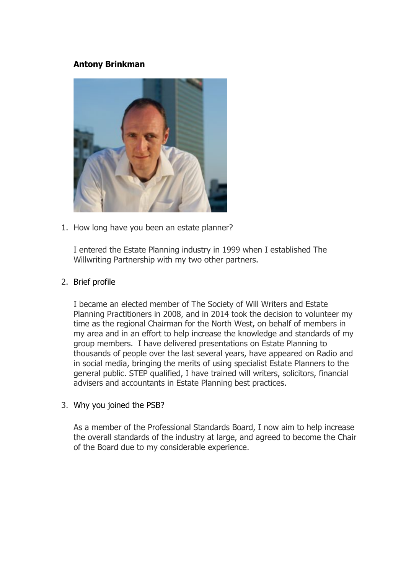# **Antony Brinkman**



1. How long have you been an estate planner?

I entered the Estate Planning industry in 1999 when I established The Willwriting Partnership with my two other partners.

#### 2. Brief profile

I became an elected member of The Society of Will Writers and Estate Planning Practitioners in 2008, and in 2014 took the decision to volunteer my time as the regional Chairman for the North West, on behalf of members in my area and in an effort to help increase the knowledge and standards of my group members. I have delivered presentations on Estate Planning to thousands of people over the last several years, have appeared on Radio and in social media, bringing the merits of using specialist Estate Planners to the general public. STEP qualified, I have trained will writers, solicitors, financial advisers and accountants in Estate Planning best practices.

#### 3. Why you joined the PSB?

As a member of the Professional Standards Board, I now aim to help increase the overall standards of the industry at large, and agreed to become the Chair of the Board due to my considerable experience.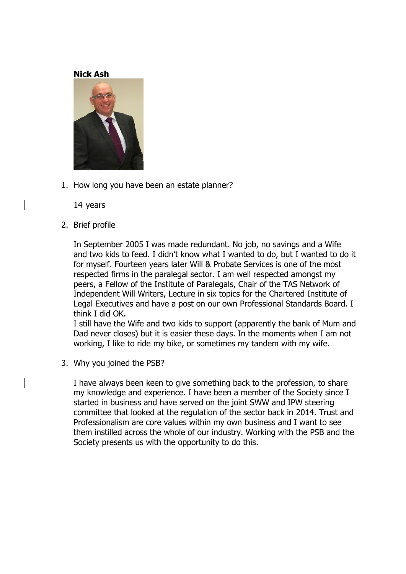#### **Nick Ash**



1. How long you have been an estate planner?

14 years

2. Brief profile

In September 2005 I was made redundant. No job, no savings and a Wife and two kids to feed. I didn't know what I wanted to do, but I wanted to do it for myself. Fourteen years later Will & Probate Services is one of the most respected firms in the paralegal sector. I am well respected amongst my peers, a Fellow of the Institute of Paralegals, Chair of the TAS Network of Independent Will Writers, Lecture in six topics for the Chartered Institute of Legal Executives and have a post on our own Professional Standards Board. I think I did OK.

I still have the Wife and two kids to support (apparently the bank of Mum and Dad never closes) but it is easier these days. In the moments when I am not working, I like to ride my bike, or sometimes my tandem with my wife.

3. Why you joined the PSB?

I have always been keen to give something back to the profession, to share my knowledge and experience. I have been a member of the Society since I started in business and have served on the joint SWW and IPW steering committee that looked at the regulation of the sector back in 2014. Trust and Professionalism are core values within my own business and I want to see them instilled across the whole of our industry. Working with the PSB and the Society presents us with the opportunity to do this.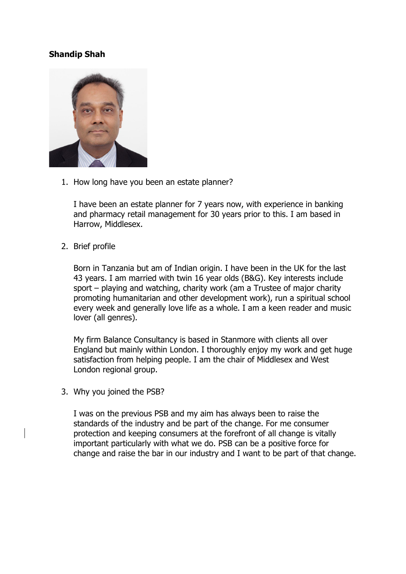# **Shandip Shah**



1. How long have you been an estate planner?

I have been an estate planner for 7 years now, with experience in banking and pharmacy retail management for 30 years prior to this. I am based in Harrow, Middlesex.

2. Brief profile

Born in Tanzania but am of Indian origin. I have been in the UK for the last 43 years. I am married with twin 16 year olds (B&G). Key interests include sport – playing and watching, charity work (am a Trustee of major charity promoting humanitarian and other development work), run a spiritual school every week and generally love life as a whole. I am a keen reader and music lover (all genres).

My firm Balance Consultancy is based in Stanmore with clients all over England but mainly within London. I thoroughly enjoy my work and get huge satisfaction from helping people. I am the chair of Middlesex and West London regional group.

3. Why you joined the PSB?

I was on the previous PSB and my aim has always been to raise the standards of the industry and be part of the change. For me consumer protection and keeping consumers at the forefront of all change is vitally important particularly with what we do. PSB can be a positive force for change and raise the bar in our industry and I want to be part of that change.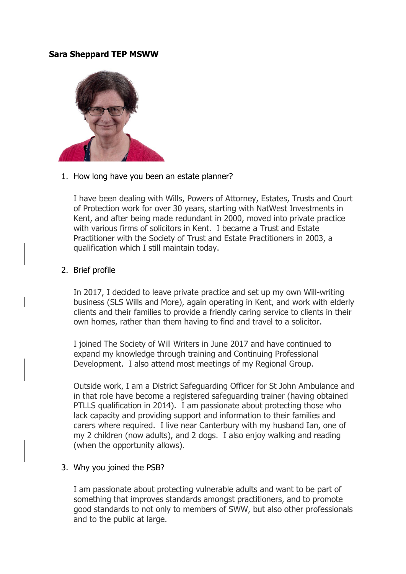#### **Sara Sheppard TEP MSWW**



1. How long have you been an estate planner?

I have been dealing with Wills, Powers of Attorney, Estates, Trusts and Court of Protection work for over 30 years, starting with NatWest Investments in Kent, and after being made redundant in 2000, moved into private practice with various firms of solicitors in Kent. I became a Trust and Estate Practitioner with the Society of Trust and Estate Practitioners in 2003, a qualification which I still maintain today.

#### 2. Brief profile

In 2017, I decided to leave private practice and set up my own Will-writing business (SLS Wills and More), again operating in Kent, and work with elderly clients and their families to provide a friendly caring service to clients in their own homes, rather than them having to find and travel to a solicitor.

I joined The Society of Will Writers in June 2017 and have continued to expand my knowledge through training and Continuing Professional Development. I also attend most meetings of my Regional Group.

Outside work, I am a District Safeguarding Officer for St John Ambulance and in that role have become a registered safeguarding trainer (having obtained PTLLS qualification in 2014). I am passionate about protecting those who lack capacity and providing support and information to their families and carers where required. I live near Canterbury with my husband Ian, one of my 2 children (now adults), and 2 dogs. I also enjoy walking and reading (when the opportunity allows).

#### 3. Why you joined the PSB?

I am passionate about protecting vulnerable adults and want to be part of something that improves standards amongst practitioners, and to promote good standards to not only to members of SWW, but also other professionals and to the public at large.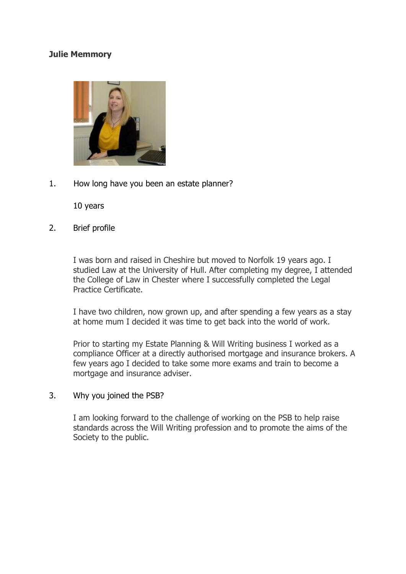## **Julie Memmory**



1. How long have you been an estate planner?

10 years

2. Brief profile

I was born and raised in Cheshire but moved to Norfolk 19 years ago. I studied Law at the University of Hull. After completing my degree, I attended the College of Law in Chester where I successfully completed the Legal Practice Certificate.

I have two children, now grown up, and after spending a few years as a stay at home mum I decided it was time to get back into the world of work.

Prior to starting my Estate Planning & Will Writing business I worked as a compliance Officer at a directly authorised mortgage and insurance brokers. A few years ago I decided to take some more exams and train to become a mortgage and insurance adviser.

#### 3. Why you joined the PSB?

I am looking forward to the challenge of working on the PSB to help raise standards across the Will Writing profession and to promote the aims of the Society to the public.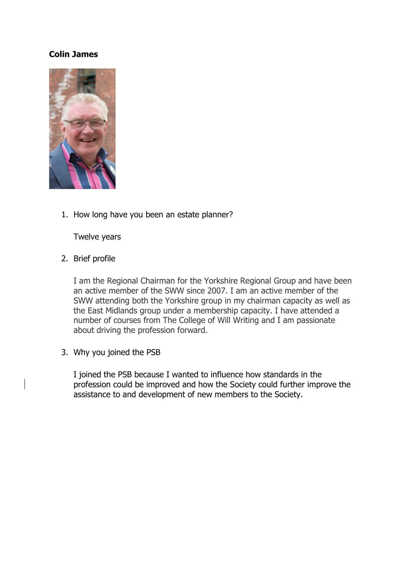## **Colin James**



1. How long have you been an estate planner?

Twelve years

2. Brief profile

I am the Regional Chairman for the Yorkshire Regional Group and have been an active member of the SWW since 2007. I am an active member of the SWW attending both the Yorkshire group in my chairman capacity as well as the East Midlands group under a membership capacity. I have attended a number of courses from The College of Will Writing and I am passionate about driving the profession forward.

3. Why you joined the PSB

I joined the PSB because I wanted to influence how standards in the profession could be improved and how the Society could further improve the assistance to and development of new members to the Society.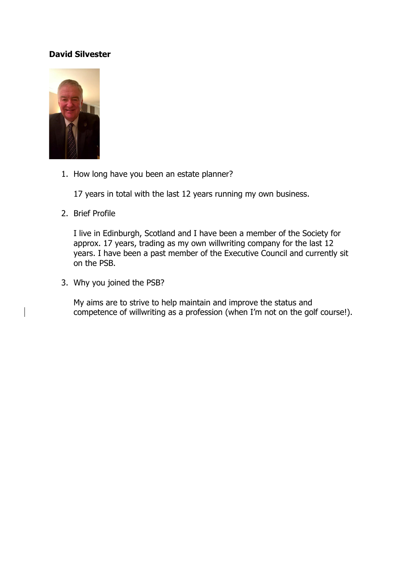# **David Silvester**



1. How long have you been an estate planner?

17 years in total with the last 12 years running my own business.

2. Brief Profile

I live in Edinburgh, Scotland and I have been a member of the Society for approx. 17 years, trading as my own willwriting company for the last 12 years. I have been a past member of the Executive Council and currently sit on the PSB.

3. Why you joined the PSB?

My aims are to strive to help maintain and improve the status and competence of willwriting as a profession (when I'm not on the golf course!).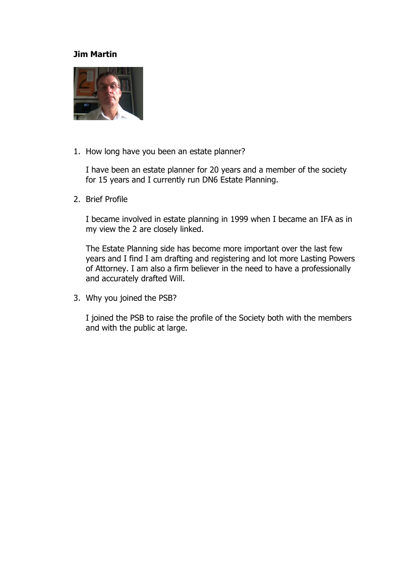#### **Jim Martin**



1. How long have you been an estate planner?

I have been an estate planner for 20 years and a member of the society for 15 years and I currently run DN6 Estate Planning.

2. Brief Profile

I became involved in estate planning in 1999 when I became an IFA as in my view the 2 are closely linked.

The Estate Planning side has become more important over the last few years and I find I am drafting and registering and lot more Lasting Powers of Attorney. I am also a firm believer in the need to have a professionally and accurately drafted Will.

3. Why you joined the PSB?

I joined the PSB to raise the profile of the Society both with the members and with the public at large.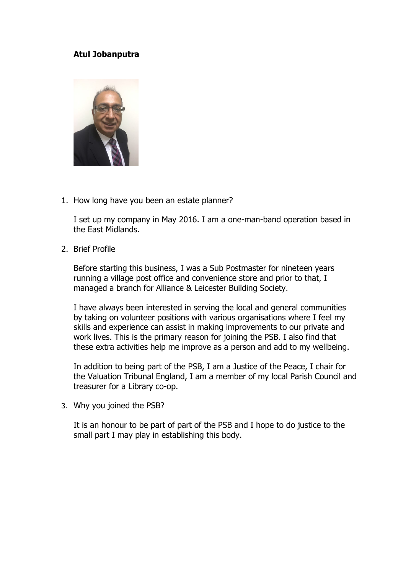# **Atul Jobanputra**



1. How long have you been an estate planner?

I set up my company in May 2016. I am a one-man-band operation based in the East Midlands.

2. Brief Profile

Before starting this business, I was a Sub Postmaster for nineteen years running a village post office and convenience store and prior to that, I managed a branch for Alliance & Leicester Building Society.

I have always been interested in serving the local and general communities by taking on volunteer positions with various organisations where I feel my skills and experience can assist in making improvements to our private and work lives. This is the primary reason for joining the PSB. I also find that these extra activities help me improve as a person and add to my wellbeing.

In addition to being part of the PSB, I am a Justice of the Peace, I chair for the Valuation Tribunal England, I am a member of my local Parish Council and treasurer for a Library co-op.

3. Why you joined the PSB?

It is an honour to be part of part of the PSB and I hope to do justice to the small part I may play in establishing this body.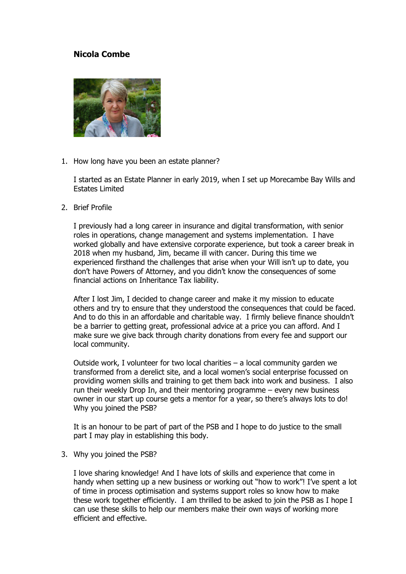## **Nicola Combe**



1. How long have you been an estate planner?

I started as an Estate Planner in early 2019, when I set up Morecambe Bay Wills and Estates Limited

2. Brief Profile

I previously had a long career in insurance and digital transformation, with senior roles in operations, change management and systems implementation. I have worked globally and have extensive corporate experience, but took a career break in 2018 when my husband, Jim, became ill with cancer. During this time we experienced firsthand the challenges that arise when your Will isn't up to date, you don't have Powers of Attorney, and you didn't know the consequences of some financial actions on Inheritance Tax liability.

After I lost Jim, I decided to change career and make it my mission to educate others and try to ensure that they understood the consequences that could be faced. And to do this in an affordable and charitable way. I firmly believe finance shouldn't be a barrier to getting great, professional advice at a price you can afford. And I make sure we give back through charity donations from every fee and support our local community.

Outside work, I volunteer for two local charities – a local community garden we transformed from a derelict site, and a local women's social enterprise focussed on providing women skills and training to get them back into work and business. I also run their weekly Drop In, and their mentoring programme – every new business owner in our start up course gets a mentor for a year, so there's always lots to do! Why you joined the PSB?

It is an honour to be part of part of the PSB and I hope to do justice to the small part I may play in establishing this body.

3. Why you joined the PSB?

I love sharing knowledge! And I have lots of skills and experience that come in handy when setting up a new business or working out "how to work"! I've spent a lot of time in process optimisation and systems support roles so know how to make these work together efficiently. I am thrilled to be asked to join the PSB as I hope I can use these skills to help our members make their own ways of working more efficient and effective.